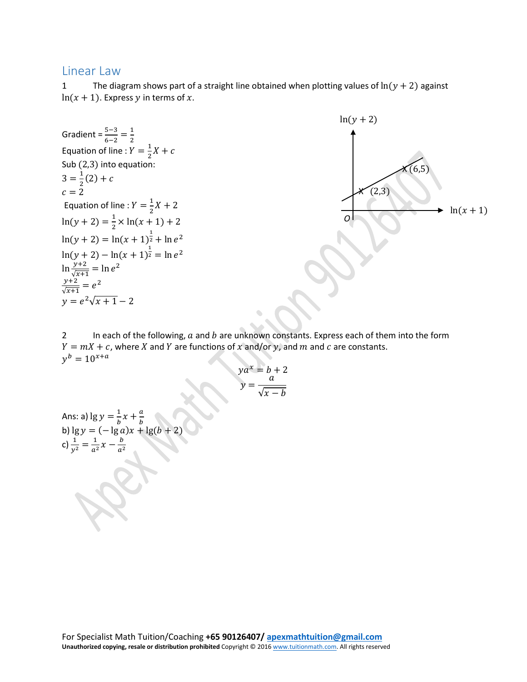## Linear Law

1 The diagram shows part of a straight line obtained when plotting values of  $ln(y + 2)$  against  $ln(x + 1)$ . Express y in terms of x.



2 In each of the following,  $a$  and  $b$  are unknown constants. Express each of them into the form  $Y = mX + c$ , where X and Y are functions of x and/or y, and m and c are constants.  $v^b = 10^{x+a}$ 

$$
ya^x = b + 2
$$

$$
y = \frac{a}{\sqrt{x - b}}
$$

Ans: a)  $\lg y = \frac{1}{b}x + \frac{a}{b}$ <br>b)  $\lg y = (-\lg a)x + \lg(b + 2)$ c)  $\frac{1}{y^2} = \frac{1}{a^2}x - \frac{b}{a^2}$  $a^2$